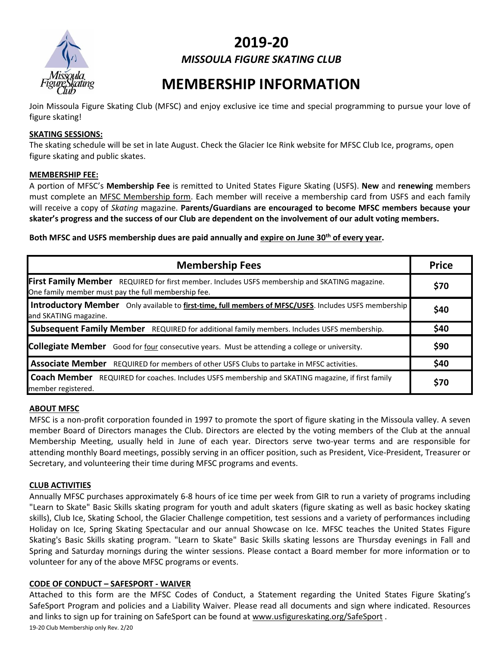

# **2019-20** *MISSOULA FIGURE SKATING CLUB*

# **MEMBERSHIP INFORMATION**

Join Missoula Figure Skating Club (MFSC) and enjoy exclusive ice time and special programming to pursue your love of figure skating!

#### **SKATING SESSIONS:**

The skating schedule will be set in late August. Check the Glacier Ice Rink website for MFSC Club Ice, programs, open figure skating and public skates.

#### **MEMBERSHIP FEE:**

A portion of MFSC's **Membership Fee** is remitted to United States Figure Skating (USFS). **New** and **renewing** members must complete an MFSC Membership form. Each member will receive a membership card from USFS and each family will receive a copy of *Skating* magazine. **Parents/Guardians are encouraged to become MFSC members because your skater's progress and the success of our Club are dependent on the involvement of our adult voting members.**

**Both MFSC and USFS membership dues are paid annually and expire on June 30th of every year.** 

| <b>Membership Fees</b>                                                                                                                               |            |  |  |
|------------------------------------------------------------------------------------------------------------------------------------------------------|------------|--|--|
| First Family Member REQUIRED for first member. Includes USFS membership and SKATING magazine.<br>One family member must pay the full membership fee. | \$70       |  |  |
| Introductory Member Only available to first-time, full members of MFSC/USFS. Includes USFS membership<br>and SKATING magazine.                       | \$40       |  |  |
| <b>Subsequent Family Member</b> REQUIRED for additional family members. Includes USFS membership.                                                    | \$40       |  |  |
| <b>Collegiate Member</b> Good for four consecutive years. Must be attending a college or university.                                                 | \$90       |  |  |
| Associate Member REQUIRED for members of other USFS Clubs to partake in MFSC activities.                                                             | \$40       |  |  |
| <b>Coach Member</b><br>REQUIRED for coaches. Includes USFS membership and SKATING magazine, if first family<br>member registered.                    | <b>S70</b> |  |  |

#### **ABOUT MFSC**

MFSC is a non-profit corporation founded in 1997 to promote the sport of figure skating in the Missoula valley. A seven member Board of Directors manages the Club. Directors are elected by the voting members of the Club at the annual Membership Meeting, usually held in June of each year. Directors serve two-year terms and are responsible for attending monthly Board meetings, possibly serving in an officer position, such as President, Vice-President, Treasurer or Secretary, and volunteering their time during MFSC programs and events.

#### **CLUB ACTIVITIES**

Annually MFSC purchases approximately 6-8 hours of ice time per week from GIR to run a variety of programs including "Learn to Skate" Basic Skills skating program for youth and adult skaters (figure skating as well as basic hockey skating skills), Club Ice, Skating School, the Glacier Challenge competition, test sessions and a variety of performances including Holiday on Ice, Spring Skating Spectacular and our annual Showcase on Ice. MFSC teaches the United States Figure Skating's Basic Skills skating program. "Learn to Skate" Basic Skills skating lessons are Thursday evenings in Fall and Spring and Saturday mornings during the winter sessions. Please contact a Board member for more information or to volunteer for any of the above MFSC programs or events.

#### **CODE OF CONDUCT – SAFESPORT - WAIVER**

19-20 Club Membership only Rev. 2/20 Attached to this form are the MFSC Codes of Conduct, a Statement regarding the United States Figure Skating's SafeSport Program and policies and a Liability Waiver. Please read all documents and sign where indicated. Resources and links to sign up for training on SafeSport can be found at [www.usfigureskating.org/SafeSport](http://www.usfigureskating.org/SafeSport) .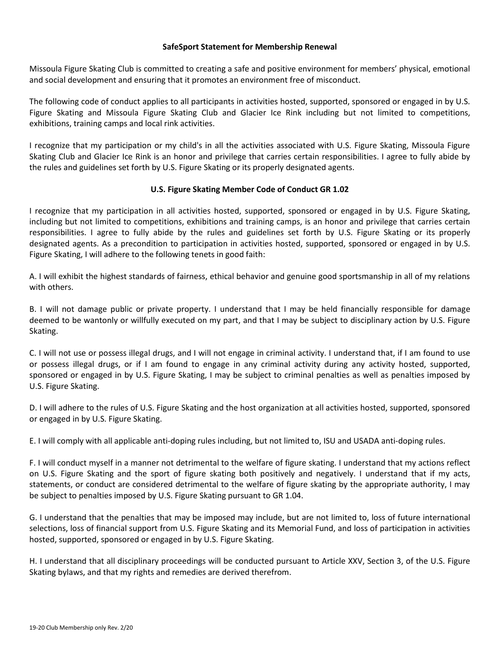#### **SafeSport Statement for Membership Renewal**

Missoula Figure Skating Club is committed to creating a safe and positive environment for members' physical, emotional and social development and ensuring that it promotes an environment free of misconduct.

The following code of conduct applies to all participants in activities hosted, supported, sponsored or engaged in by U.S. Figure Skating and Missoula Figure Skating Club and Glacier Ice Rink including but not limited to competitions, exhibitions, training camps and local rink activities.

I recognize that my participation or my child's in all the activities associated with U.S. Figure Skating, Missoula Figure Skating Club and Glacier Ice Rink is an honor and privilege that carries certain responsibilities. I agree to fully abide by the rules and guidelines set forth by U.S. Figure Skating or its properly designated agents.

#### **U.S. Figure Skating Member Code of Conduct GR 1.02**

I recognize that my participation in all activities hosted, supported, sponsored or engaged in by U.S. Figure Skating, including but not limited to competitions, exhibitions and training camps, is an honor and privilege that carries certain responsibilities. I agree to fully abide by the rules and guidelines set forth by U.S. Figure Skating or its properly designated agents. As a precondition to participation in activities hosted, supported, sponsored or engaged in by U.S. Figure Skating, I will adhere to the following tenets in good faith:

A. I will exhibit the highest standards of fairness, ethical behavior and genuine good sportsmanship in all of my relations with others.

B. I will not damage public or private property. I understand that I may be held financially responsible for damage deemed to be wantonly or willfully executed on my part, and that I may be subject to disciplinary action by U.S. Figure Skating.

C. I will not use or possess illegal drugs, and I will not engage in criminal activity. I understand that, if I am found to use or possess illegal drugs, or if I am found to engage in any criminal activity during any activity hosted, supported, sponsored or engaged in by U.S. Figure Skating, I may be subject to criminal penalties as well as penalties imposed by U.S. Figure Skating.

D. I will adhere to the rules of U.S. Figure Skating and the host organization at all activities hosted, supported, sponsored or engaged in by U.S. Figure Skating.

E. I will comply with all applicable anti-doping rules including, but not limited to, ISU and USADA anti-doping rules.

F. I will conduct myself in a manner not detrimental to the welfare of figure skating. I understand that my actions reflect on U.S. Figure Skating and the sport of figure skating both positively and negatively. I understand that if my acts, statements, or conduct are considered detrimental to the welfare of figure skating by the appropriate authority, I may be subject to penalties imposed by U.S. Figure Skating pursuant to GR 1.04.

G. I understand that the penalties that may be imposed may include, but are not limited to, loss of future international selections, loss of financial support from U.S. Figure Skating and its Memorial Fund, and loss of participation in activities hosted, supported, sponsored or engaged in by U.S. Figure Skating.

H. I understand that all disciplinary proceedings will be conducted pursuant to Article XXV, Section 3, of the U.S. Figure Skating bylaws, and that my rights and remedies are derived therefrom.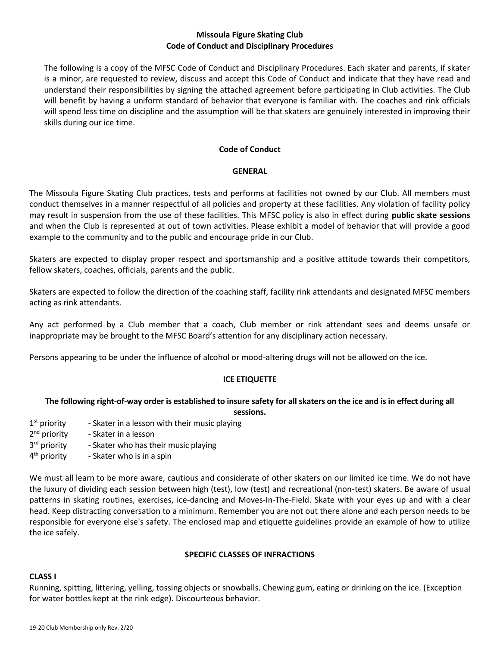#### **Missoula Figure Skating Club Code of Conduct and Disciplinary Procedures**

The following is a copy of the MFSC Code of Conduct and Disciplinary Procedures. Each skater and parents, if skater is a minor, are requested to review, discuss and accept this Code of Conduct and indicate that they have read and understand their responsibilities by signing the attached agreement before participating in Club activities. The Club will benefit by having a uniform standard of behavior that everyone is familiar with. The coaches and rink officials will spend less time on discipline and the assumption will be that skaters are genuinely interested in improving their skills during our ice time.

#### **Code of Conduct**

#### **GENERAL**

The Missoula Figure Skating Club practices, tests and performs at facilities not owned by our Club. All members must conduct themselves in a manner respectful of all policies and property at these facilities. Any violation of facility policy may result in suspension from the use of these facilities. This MFSC policy is also in effect during **public skate sessions** and when the Club is represented at out of town activities. Please exhibit a model of behavior that will provide a good example to the community and to the public and encourage pride in our Club.

Skaters are expected to display proper respect and sportsmanship and a positive attitude towards their competitors, fellow skaters, coaches, officials, parents and the public.

Skaters are expected to follow the direction of the coaching staff, facility rink attendants and designated MFSC members acting as rink attendants.

Any act performed by a Club member that a coach, Club member or rink attendant sees and deems unsafe or inappropriate may be brought to the MFSC Board's attention for any disciplinary action necessary.

Persons appearing to be under the influence of alcohol or mood-altering drugs will not be allowed on the ice.

#### **ICE ETIQUETTE**

#### **The following right-of-way order is established to insure safety for all skaters on the ice and is in effect during all sessions.**

- 1<sup>st</sup> priority - Skater in a lesson with their music playing
- 2<sup>nd</sup> priority - Skater in a lesson
- 3<sup>rd</sup> priority - Skater who has their music playing
- 4<sup>th</sup> priority - Skater who is in a spin

We must all learn to be more aware, cautious and considerate of other skaters on our limited ice time. We do not have the luxury of dividing each session between high (test), low (test) and recreational (non-test) skaters. Be aware of usual patterns in skating routines, exercises, ice-dancing and Moves-In-The-Field. Skate with your eyes up and with a clear head. Keep distracting conversation to a minimum. Remember you are not out there alone and each person needs to be responsible for everyone else's safety. The enclosed map and etiquette guidelines provide an example of how to utilize the ice safely.

#### **SPECIFIC CLASSES OF INFRACTIONS**

## **CLASS I**

Running, spitting, littering, yelling, tossing objects or snowballs. Chewing gum, eating or drinking on the ice. (Exception for water bottles kept at the rink edge). Discourteous behavior.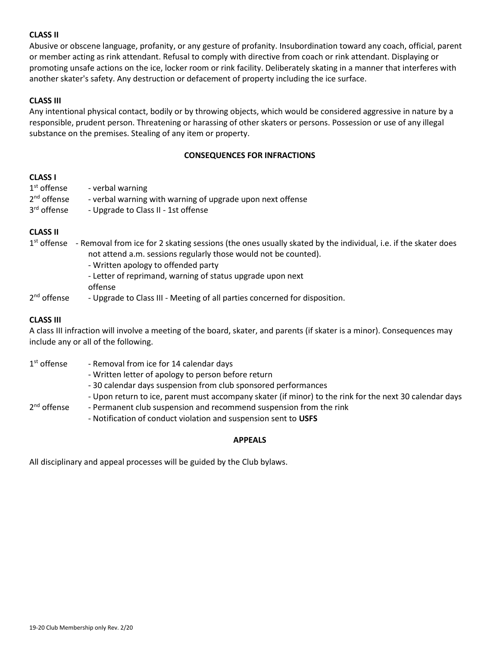#### **CLASS II**

Abusive or obscene language, profanity, or any gesture of profanity. Insubordination toward any coach, official, parent or member acting as rink attendant. Refusal to comply with directive from coach or rink attendant. Displaying or promoting unsafe actions on the ice, locker room or rink facility. Deliberately skating in a manner that interferes with another skater's safety. Any destruction or defacement of property including the ice surface.

#### **CLASS III**

Any intentional physical contact, bodily or by throwing objects, which would be considered aggressive in nature by a responsible, prudent person. Threatening or harassing of other skaters or persons. Possession or use of any illegal substance on the premises. Stealing of any item or property.

#### **CONSEQUENCES FOR INFRACTIONS**

#### **CLASS I**

| $1st$ offense           | - verbal warning                                           |
|-------------------------|------------------------------------------------------------|
| $2nd$ offense           | - verbal warning with warning of upgrade upon next offense |
| 3 <sup>rd</sup> offense | - Upgrade to Class II - 1st offense                        |

#### **CLASS II**

- 1<sup>st</sup> offense Removal from ice for 2 skating sessions (the ones usually skated by the individual, i.e. if the skater does not attend a.m. sessions regularly those would not be counted). - Written apology to offended party
	- Letter of reprimand, warning of status upgrade upon next
	- offense
- 2<sup>nd</sup> offense - Upgrade to Class III - Meeting of all parties concerned for disposition.

#### **CLASS III**

A class III infraction will involve a meeting of the board, skater, and parents (if skater is a minor). Consequences may include any or all of the following.

- 1<sup>st</sup> offense - Removal from ice for 14 calendar days - Written letter of apology to person before return - 30 calendar days suspension from club sponsored performances - Upon return to ice, parent must accompany skater (if minor) to the rink for the next 30 calendar days  $2<sup>nd</sup>$  offense - Permanent club suspension and recommend suspension from the rink
	- Notification of conduct violation and suspension sent to **USFS**

#### **APPEALS**

All disciplinary and appeal processes will be guided by the Club bylaws.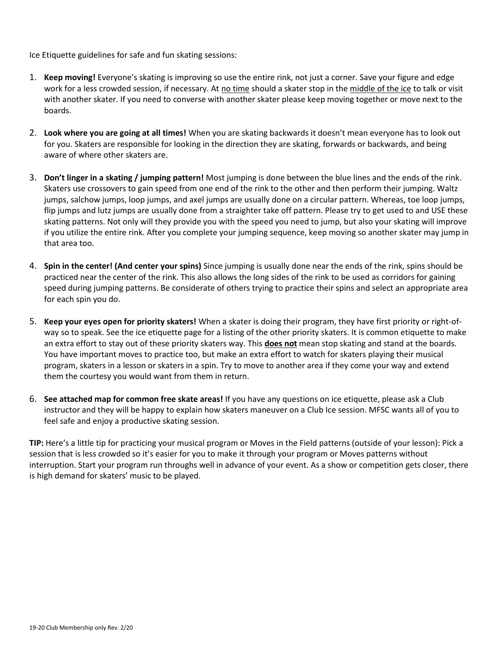Ice Etiquette guidelines for safe and fun skating sessions:

- 1. **Keep moving!** Everyone's skating is improving so use the entire rink, not just a corner. Save your figure and edge work for a less crowded session, if necessary. At no time should a skater stop in the middle of the ice to talk or visit with another skater. If you need to converse with another skater please keep moving together or move next to the boards.
- 2. **Look where you are going at all times!** When you are skating backwards it doesn't mean everyone has to look out for you. Skaters are responsible for looking in the direction they are skating, forwards or backwards, and being aware of where other skaters are.
- 3. **Don't linger in a skating / jumping pattern!** Most jumping is done between the blue lines and the ends of the rink. Skaters use crossovers to gain speed from one end of the rink to the other and then perform their jumping. Waltz jumps, salchow jumps, loop jumps, and axel jumps are usually done on a circular pattern. Whereas, toe loop jumps, flip jumps and lutz jumps are usually done from a straighter take off pattern. Please try to get used to and USE these skating patterns. Not only will they provide you with the speed you need to jump, but also your skating will improve if you utilize the entire rink. After you complete your jumping sequence, keep moving so another skater may jump in that area too.
- 4. **Spin in the center! (And center your spins)** Since jumping is usually done near the ends of the rink, spins should be practiced near the center of the rink. This also allows the long sides of the rink to be used as corridors for gaining speed during jumping patterns. Be considerate of others trying to practice their spins and select an appropriate area for each spin you do.
- 5. **Keep your eyes open for priority skaters!** When a skater is doing their program, they have first priority or right-ofway so to speak. See the ice etiquette page for a listing of the other priority skaters. It is common etiquette to make an extra effort to stay out of these priority skaters way. This **does not** mean stop skating and stand at the boards. You have important moves to practice too, but make an extra effort to watch for skaters playing their musical program, skaters in a lesson or skaters in a spin. Try to move to another area if they come your way and extend them the courtesy you would want from them in return.
- 6. **See attached map for common free skate areas!** If you have any questions on ice etiquette, please ask a Club instructor and they will be happy to explain how skaters maneuver on a Club Ice session. MFSC wants all of you to feel safe and enjoy a productive skating session.

**TIP:** Here's a little tip for practicing your musical program or Moves in the Field patterns (outside of your lesson): Pick a session that is less crowded so it's easier for you to make it through your program or Moves patterns without interruption. Start your program run throughs well in advance of your event. As a show or competition gets closer, there is high demand for skaters' music to be played.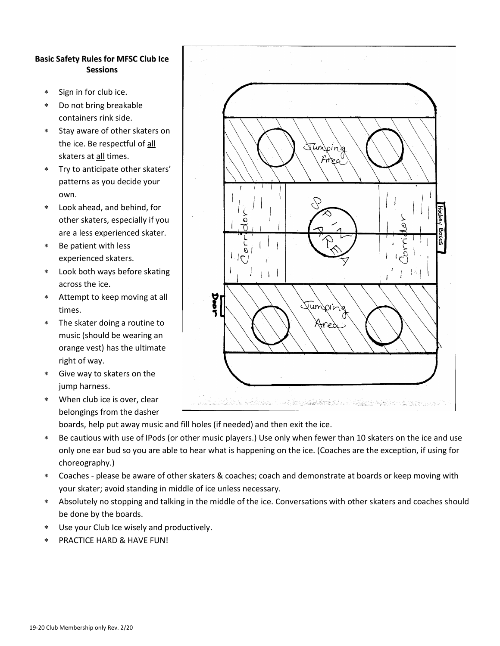#### **Basic Safety Rules for MFSC Club Ice Sessions**

- Sign in for club ice.
- Do not bring breakable containers rink side.
- Stay aware of other skaters on the ice. Be respectful of all skaters at all times.
- Try to anticipate other skaters' patterns as you decide your own.
- Look ahead, and behind, for other skaters, especially if you are a less experienced skater.
- Be patient with less experienced skaters.
- Look both ways before skating across the ice.
- Attempt to keep moving at all times.
- The skater doing a routine to music (should be wearing an orange vest) has the ultimate right of way.
- Give way to skaters on the jump harness.
- When club ice is over, clear belongings from the dasher



boards, help put away music and fill holes (if needed) and then exit the ice.

- Be cautious with use of IPods (or other music players.) Use only when fewer than 10 skaters on the ice and use only one ear bud so you are able to hear what is happening on the ice. (Coaches are the exception, if using for choreography.)
- Coaches please be aware of other skaters & coaches; coach and demonstrate at boards or keep moving with your skater; avoid standing in middle of ice unless necessary.
- Absolutely no stopping and talking in the middle of the ice. Conversations with other skaters and coaches should be done by the boards.
- Use your Club Ice wisely and productively.
- PRACTICE HARD & HAVE FUN!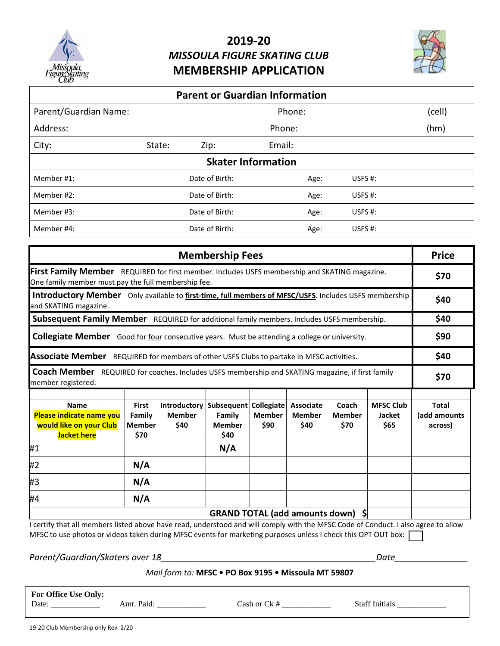

# **2019-20** *MISSOULA FIGURE SKATING CLUB* **MEMBERSHIP APPLICATION**



| <b>Parent or Guardian Information</b>     |                |                |            |  |  |  |
|-------------------------------------------|----------------|----------------|------------|--|--|--|
| Parent/Guardian Name:<br>(cell)<br>Phone: |                |                |            |  |  |  |
|                                           | Phone:<br>(hm) |                |            |  |  |  |
| State:<br>Zip:                            | Email:         |                |            |  |  |  |
| <b>Skater Information</b>                 |                |                |            |  |  |  |
| Date of Birth:                            |                | Age:           | USFS $#$ : |  |  |  |
|                                           |                | Age:           | USFS $#$ : |  |  |  |
| Date of Birth:                            |                | Age:           | USFS $#$ : |  |  |  |
| Date of Birth:                            |                |                | USFS $#$ : |  |  |  |
|                                           |                | Date of Birth: | Age:       |  |  |  |

| <b>Membership Fees</b>                                                                                                                               |                                                 |                                                      |                                       |                                            | <b>Price</b>                              |                                |                                           |                                  |
|------------------------------------------------------------------------------------------------------------------------------------------------------|-------------------------------------------------|------------------------------------------------------|---------------------------------------|--------------------------------------------|-------------------------------------------|--------------------------------|-------------------------------------------|----------------------------------|
| First Family Member REQUIRED for first member. Includes USFS membership and SKATING magazine.<br>One family member must pay the full membership fee. |                                                 |                                                      |                                       |                                            | \$70                                      |                                |                                           |                                  |
| Introductory Member Only available to first-time, full members of MFSC/USFS. Includes USFS membership<br>and SKATING magazine.                       |                                                 |                                                      |                                       |                                            | \$40                                      |                                |                                           |                                  |
| Subsequent Family Member REQUIRED for additional family members. Includes USFS membership.                                                           |                                                 |                                                      |                                       |                                            | \$40                                      |                                |                                           |                                  |
| <b>Collegiate Member</b> Good for four consecutive years. Must be attending a college or university.                                                 |                                                 |                                                      |                                       |                                            | \$90                                      |                                |                                           |                                  |
| Associate Member REQUIRED for members of other USFS Clubs to partake in MFSC activities.                                                             |                                                 |                                                      |                                       | \$40                                       |                                           |                                |                                           |                                  |
| <b>Coach Member</b> REQUIRED for coaches. Includes USFS membership and SKATING magazine, if first family<br>member registered.                       |                                                 |                                                      |                                       |                                            | \$70                                      |                                |                                           |                                  |
| <b>Name</b><br>Please indicate name you<br>would like on your Club<br><b>Jacket here</b>                                                             | <b>First</b><br>Family<br><b>Member</b><br>\$70 | Introductory   Subsequent  <br><b>Member</b><br>\$40 | Family<br><b>Member</b><br>\$40       | <b>Collegiate</b><br><b>Member</b><br>\$90 | <b>Associate</b><br><b>Member</b><br>\$40 | Coach<br><b>Member</b><br>\$70 | <b>MFSC Club</b><br><b>Jacket</b><br>\$65 | Total<br>(add amounts<br>across) |
| #1                                                                                                                                                   |                                                 |                                                      | N/A                                   |                                            |                                           |                                |                                           |                                  |
| #2                                                                                                                                                   | N/A                                             |                                                      |                                       |                                            |                                           |                                |                                           |                                  |
| #3                                                                                                                                                   | N/A                                             |                                                      |                                       |                                            |                                           |                                |                                           |                                  |
| #4                                                                                                                                                   | N/A                                             |                                                      |                                       |                                            |                                           |                                |                                           |                                  |
|                                                                                                                                                      |                                                 |                                                      | <b>GRAND TOTAL (add amounts down)</b> |                                            |                                           | \$                             |                                           |                                  |

I certify that all members listed above have read, understood and will comply with the MFSC Code of Conduct. I also agree to allow MFSC to use photos or videos taken during MFSC events for marketing purposes unless I check this OPT OUT box: [

*Parent/Guardian/Skaters over 18\_\_\_\_\_\_\_\_\_\_\_\_\_\_\_\_\_\_\_\_\_\_\_\_\_\_\_\_\_\_\_\_\_\_\_\_\_\_\_\_\_\_\_\_Date\_\_\_\_\_\_\_\_\_\_\_\_\_\_\_*

## *Mail form to:* **MFSC • PO Box 9195 • Missoula MT 59807**

**For Office Use Only:**

Date: \_\_\_\_\_\_\_\_\_\_\_\_ Amt. Paid: \_\_\_\_\_\_\_\_\_\_\_\_ Cash or Ck # \_\_\_\_\_\_\_\_\_\_\_\_ Staff Initials \_\_\_\_\_\_\_\_\_\_\_\_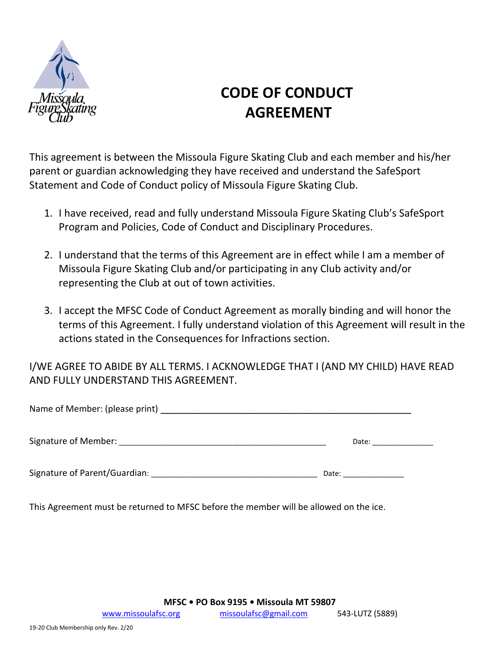

# **CODE OF CONDUCT AGREEMENT**

This agreement is between the Missoula Figure Skating Club and each member and his/her parent or guardian acknowledging they have received and understand the SafeSport Statement and Code of Conduct policy of Missoula Figure Skating Club.

- 1. I have received, read and fully understand Missoula Figure Skating Club's SafeSport Program and Policies, Code of Conduct and Disciplinary Procedures.
- 2. I understand that the terms of this Agreement are in effect while I am a member of Missoula Figure Skating Club and/or participating in any Club activity and/or representing the Club at out of town activities.
- 3. I accept the MFSC Code of Conduct Agreement as morally binding and will honor the terms of this Agreement. I fully understand violation of this Agreement will result in the actions stated in the Consequences for Infractions section.

I/WE AGREE TO ABIDE BY ALL TERMS. I ACKNOWLEDGE THAT I (AND MY CHILD) HAVE READ AND FULLY UNDERSTAND THIS AGREEMENT.

| Name of Member: (please print) |       |
|--------------------------------|-------|
| Signature of Member:           | Date: |
| Signature of Parent/Guardian:  | Date: |

This Agreement must be returned to MFSC before the member will be allowed on the ice.

**MFSC • PO Box 9195 • Missoula MT 59807**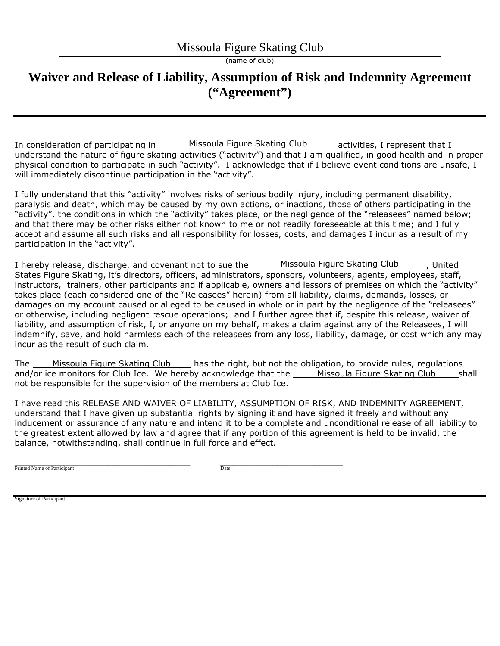(name of club)

## **Waiver and Release of Liability, Assumption of Risk and Indemnity Agreement ("Agreement")**

In consideration of participating in activities, I represent that I understand the nature of figure skating activities ("activity") and that I am qualified, in good health and in proper physical condition to participate in such "activity". I acknowledge that if I believe event conditions are unsafe, I will immediately discontinue participation in the "activity". Missoula Figure Skating Club

I fully understand that this "activity" involves risks of serious bodily injury, including permanent disability, paralysis and death, which may be caused by my own actions, or inactions, those of others participating in the "activity", the conditions in which the "activity" takes place, or the negligence of the "releasees" named below; and that there may be other risks either not known to me or not readily foreseeable at this time; and I fully accept and assume all such risks and all responsibility for losses, costs, and damages I incur as a result of my participation in the "activity".

I hereby release, discharge, and covenant not to sue the States Figure Skating, it's directors, officers, administrators, sponsors, volunteers, agents, employees, staff, instructors, trainers, other participants and if applicable, owners and lessors of premises on which the "activity" takes place (each considered one of the "Releasees" herein) from all liability, claims, demands, losses, or damages on my account caused or alleged to be caused in whole or in part by the negligence of the "releasees" or otherwise, including negligent rescue operations; and I further agree that if, despite this release, waiver of liability, and assumption of risk, I, or anyone on my behalf, makes a claim against any of the Releasees, I will indemnify, save, and hold harmless each of the releasees from any loss, liability, damage, or cost which any may incur as the result of such claim. Missoula Figure Skating Club , United

The <u>Missoula Figure Skating Club</u> (and the right, but not the obligation, to provide rules, regulations The and/or ice monitors for Club Ice. We hereby acknowledge that the Missoula Figure Skating Club shall not be responsible for the supervision of the members at Club Ice. Missoula Figure Skating Club

I have read this RELEASE AND WAIVER OF LIABILITY, ASSUMPTION OF RISK, AND INDEMNITY AGREEMENT, understand that I have given up substantial rights by signing it and have signed it freely and without any inducement or assurance of any nature and intend it to be a complete and unconditional release of all liability to the greatest extent allowed by law and agree that if any portion of this agreement is held to be invalid, the balance, notwithstanding, shall continue in full force and effect.

\_\_\_\_\_\_\_\_\_\_\_\_\_\_\_\_\_\_\_\_\_\_\_\_\_\_\_\_\_\_\_\_\_\_\_\_\_\_\_\_\_\_\_ \_\_\_\_\_\_\_\_\_\_\_\_\_\_\_\_\_\_\_\_\_\_\_\_\_\_\_\_\_\_ Printed Name of Participant Date

Signature of Participant